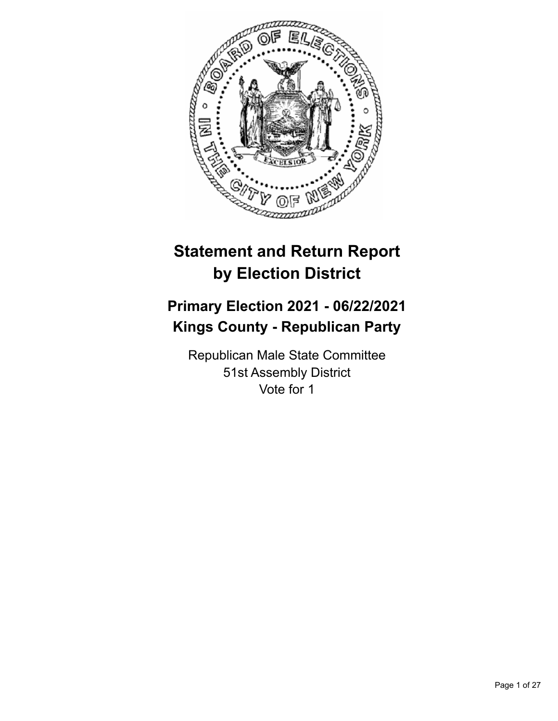

# **Statement and Return Report by Election District**

# **Primary Election 2021 - 06/22/2021 Kings County - Republican Party**

Republican Male State Committee 51st Assembly District Vote for 1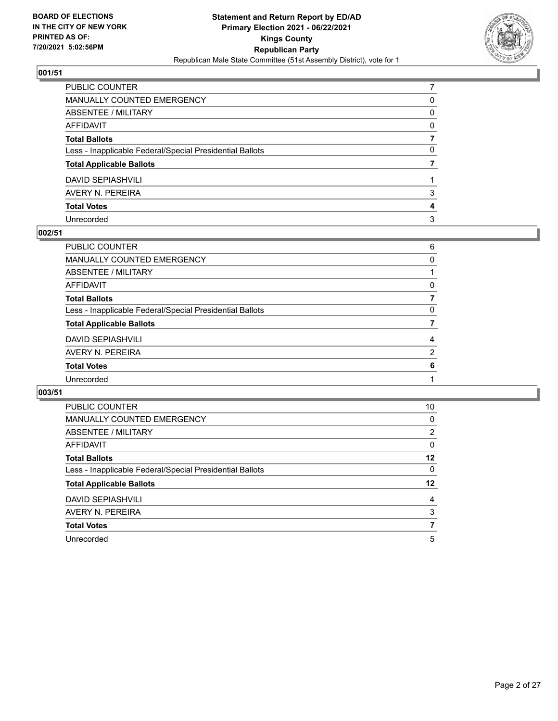

| PUBLIC COUNTER                                           |          |
|----------------------------------------------------------|----------|
| MANUALLY COUNTED EMERGENCY                               | 0        |
| ABSENTEE / MILITARY                                      | 0        |
| AFFIDAVIT                                                | $\Omega$ |
| Total Ballots                                            |          |
| Less - Inapplicable Federal/Special Presidential Ballots | 0        |
| <b>Total Applicable Ballots</b>                          |          |
| DAVID SEPIASHVILI                                        |          |
| AVERY N. PEREIRA                                         | 3        |
| <b>Total Votes</b>                                       | 4        |
| Unrecorded                                               | 3        |

# **002/51**

| PUBLIC COUNTER                                           | 6              |
|----------------------------------------------------------|----------------|
| <b>MANUALLY COUNTED EMERGENCY</b>                        | $\Omega$       |
| ABSENTEE / MILITARY                                      |                |
| <b>AFFIDAVIT</b>                                         | 0              |
| <b>Total Ballots</b>                                     | 7              |
| Less - Inapplicable Federal/Special Presidential Ballots | 0              |
| <b>Total Applicable Ballots</b>                          |                |
| <b>DAVID SEPIASHVILI</b>                                 | 4              |
| AVERY N. PEREIRA                                         | $\overline{2}$ |
| <b>Total Votes</b>                                       | 6              |
| Unrecorded                                               |                |
|                                                          |                |

| <b>PUBLIC COUNTER</b>                                    | 10             |
|----------------------------------------------------------|----------------|
| MANUALLY COUNTED EMERGENCY                               | 0              |
| ABSENTEE / MILITARY                                      | $\overline{2}$ |
| <b>AFFIDAVIT</b>                                         | $\Omega$       |
| <b>Total Ballots</b>                                     | 12             |
| Less - Inapplicable Federal/Special Presidential Ballots | 0              |
| <b>Total Applicable Ballots</b>                          | 12             |
| <b>DAVID SEPIASHVILI</b>                                 | 4              |
| AVERY N. PEREIRA                                         | 3              |
| <b>Total Votes</b>                                       | 7              |
| Unrecorded                                               | 5              |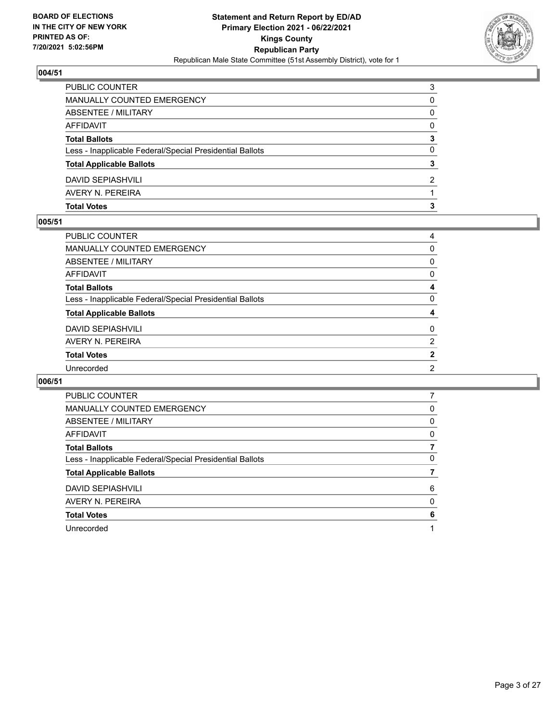

| <b>Total Votes</b>                                       | з |
|----------------------------------------------------------|---|
| AVERY N. PEREIRA                                         |   |
| DAVID SEPIASHVILI                                        | 2 |
| <b>Total Applicable Ballots</b>                          | 3 |
| Less - Inapplicable Federal/Special Presidential Ballots | 0 |
| <b>Total Ballots</b>                                     | 3 |
| AFFIDAVIT                                                | 0 |
| ABSENTEE / MILITARY                                      | 0 |
| MANUALLY COUNTED EMERGENCY                               | 0 |
| <b>PUBLIC COUNTER</b>                                    | 3 |

### **005/51**

| PUBLIC COUNTER                                           | 4              |
|----------------------------------------------------------|----------------|
| MANUALLY COUNTED EMERGENCY                               | 0              |
| ABSENTEE / MILITARY                                      | 0              |
| AFFIDAVIT                                                | 0              |
| <b>Total Ballots</b>                                     | 4              |
| Less - Inapplicable Federal/Special Presidential Ballots | $\Omega$       |
| <b>Total Applicable Ballots</b>                          | 4              |
| DAVID SEPIASHVILI                                        | 0              |
| AVERY N. PEREIRA                                         | $\overline{2}$ |
| <b>Total Votes</b>                                       | $\overline{2}$ |
| Unrecorded                                               | 2              |
|                                                          |                |

| <b>PUBLIC COUNTER</b>                                    |   |
|----------------------------------------------------------|---|
| MANUALLY COUNTED EMERGENCY                               | 0 |
| ABSENTEE / MILITARY                                      | 0 |
| <b>AFFIDAVIT</b>                                         | 0 |
| <b>Total Ballots</b>                                     |   |
| Less - Inapplicable Federal/Special Presidential Ballots | 0 |
| <b>Total Applicable Ballots</b>                          |   |
| <b>DAVID SEPIASHVILI</b>                                 | 6 |
| AVERY N. PEREIRA                                         | 0 |
| <b>Total Votes</b>                                       | 6 |
| Unrecorded                                               |   |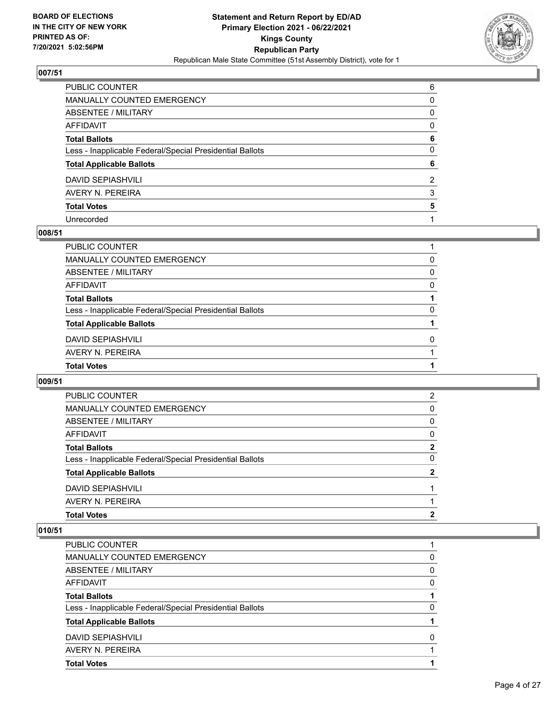

| PUBLIC COUNTER                                           | 6            |
|----------------------------------------------------------|--------------|
| MANUALLY COUNTED EMERGENCY                               | $\mathbf{0}$ |
| ABSENTEE / MILITARY                                      | 0            |
| AFFIDAVIT                                                | $\mathbf{0}$ |
| <b>Total Ballots</b>                                     | 6            |
| Less - Inapplicable Federal/Special Presidential Ballots | $\mathbf{0}$ |
| <b>Total Applicable Ballots</b>                          | 6            |
| DAVID SEPIASHVILI                                        | 2            |
| AVERY N. PEREIRA                                         | 3            |
| <b>Total Votes</b>                                       | 5            |
| Unrecorded                                               |              |

### **008/51**

| <b>Total Votes</b>                                       |          |
|----------------------------------------------------------|----------|
| AVERY N. PEREIRA                                         |          |
| <b>DAVID SEPIASHVILI</b>                                 | 0        |
| <b>Total Applicable Ballots</b>                          |          |
| Less - Inapplicable Federal/Special Presidential Ballots | $\Omega$ |
| <b>Total Ballots</b>                                     |          |
| AFFIDAVIT                                                | $\Omega$ |
| ABSENTEE / MILITARY                                      | 0        |
| MANUALLY COUNTED EMERGENCY                               | 0        |
| PUBLIC COUNTER                                           |          |

# **009/51**

| PUBLIC COUNTER                                           | 2        |
|----------------------------------------------------------|----------|
| MANUALLY COUNTED EMERGENCY                               | 0        |
| ABSENTEE / MILITARY                                      | $\Omega$ |
| AFFIDAVIT                                                | $\Omega$ |
| <b>Total Ballots</b>                                     | 2        |
| Less - Inapplicable Federal/Special Presidential Ballots | 0        |
| <b>Total Applicable Ballots</b>                          | 2        |
| DAVID SEPIASHVILI                                        |          |
| AVERY N. PEREIRA                                         |          |
| <b>Total Votes</b>                                       | 2        |

| <b>Total Votes</b>                                       |          |
|----------------------------------------------------------|----------|
| AVERY N. PEREIRA                                         |          |
| <b>DAVID SEPIASHVILI</b>                                 | O        |
| <b>Total Applicable Ballots</b>                          |          |
| Less - Inapplicable Federal/Special Presidential Ballots | 0        |
| <b>Total Ballots</b>                                     |          |
| AFFIDAVIT                                                | 0        |
| ABSENTEE / MILITARY                                      | $\Omega$ |
| <b>MANUALLY COUNTED EMERGENCY</b>                        | 0        |
| PUBLIC COUNTER                                           |          |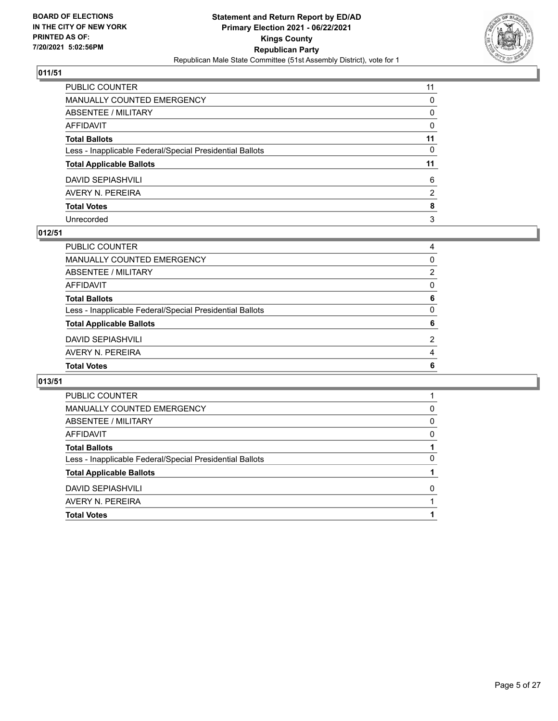

| PUBLIC COUNTER                                           | 11       |
|----------------------------------------------------------|----------|
| MANUALLY COUNTED EMERGENCY                               | 0        |
| ABSENTEE / MILITARY                                      | 0        |
| AFFIDAVIT                                                | $\Omega$ |
| <b>Total Ballots</b>                                     | 11       |
| Less - Inapplicable Federal/Special Presidential Ballots | $\Omega$ |
| <b>Total Applicable Ballots</b>                          | 11       |
| <b>DAVID SEPIASHVILI</b>                                 | 6        |
| AVERY N. PEREIRA                                         | 2        |
| <b>Total Votes</b>                                       | 8        |
| Unrecorded                                               | 3        |

### **012/51**

| PUBLIC COUNTER                                           | 4              |
|----------------------------------------------------------|----------------|
| MANUALLY COUNTED EMERGENCY                               | $\Omega$       |
| ABSENTEE / MILITARY                                      | $\overline{2}$ |
| <b>AFFIDAVIT</b>                                         | $\Omega$       |
| <b>Total Ballots</b>                                     | 6              |
| Less - Inapplicable Federal/Special Presidential Ballots | $\Omega$       |
| <b>Total Applicable Ballots</b>                          | 6              |
| <b>DAVID SEPIASHVILI</b>                                 | $\mathcal{P}$  |
| AVERY N. PEREIRA                                         | 4              |
| <b>Total Votes</b>                                       | 6              |
|                                                          |                |

| PUBLIC COUNTER                                           |          |
|----------------------------------------------------------|----------|
| MANUALLY COUNTED EMERGENCY                               | 0        |
| ABSENTEE / MILITARY                                      | $\Omega$ |
| AFFIDAVIT                                                | 0        |
| <b>Total Ballots</b>                                     |          |
| Less - Inapplicable Federal/Special Presidential Ballots | 0        |
| <b>Total Applicable Ballots</b>                          |          |
| DAVID SEPIASHVILL                                        | 0        |
| AVERY N. PEREIRA                                         |          |
| <b>Total Votes</b>                                       |          |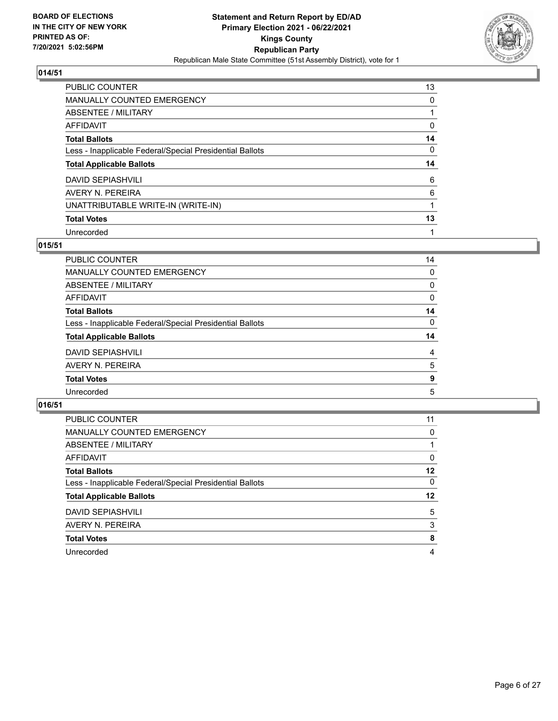

| PUBLIC COUNTER                                           | 13       |
|----------------------------------------------------------|----------|
| MANUALLY COUNTED EMERGENCY                               | 0        |
| ABSENTEE / MILITARY                                      |          |
| AFFIDAVIT                                                | 0        |
| <b>Total Ballots</b>                                     | 14       |
| Less - Inapplicable Federal/Special Presidential Ballots | $\Omega$ |
| <b>Total Applicable Ballots</b>                          | 14       |
| DAVID SEPIASHVILI                                        | 6        |
| AVERY N. PEREIRA                                         | 6        |
| UNATTRIBUTABLE WRITE-IN (WRITE-IN)                       |          |
| <b>Total Votes</b>                                       | 13       |
| Unrecorded                                               |          |

### **015/51**

| <b>PUBLIC COUNTER</b>                                    | 14 |
|----------------------------------------------------------|----|
| MANUALLY COUNTED EMERGENCY                               | 0  |
| ABSENTEE / MILITARY                                      | 0  |
| AFFIDAVIT                                                | 0  |
| <b>Total Ballots</b>                                     | 14 |
| Less - Inapplicable Federal/Special Presidential Ballots | 0  |
| <b>Total Applicable Ballots</b>                          | 14 |
| <b>DAVID SEPIASHVILI</b>                                 | 4  |
| AVERY N. PEREIRA                                         | 5  |
| <b>Total Votes</b>                                       | 9  |
| Unrecorded                                               | 5  |

| PUBLIC COUNTER                                           | 11       |
|----------------------------------------------------------|----------|
| MANUALLY COUNTED EMERGENCY                               | 0        |
| ABSENTEE / MILITARY                                      |          |
| AFFIDAVIT                                                | 0        |
| <b>Total Ballots</b>                                     | $12 \,$  |
| Less - Inapplicable Federal/Special Presidential Ballots | $\Omega$ |
| <b>Total Applicable Ballots</b>                          | 12       |
| <b>DAVID SEPIASHVILI</b>                                 | 5        |
| AVERY N. PEREIRA                                         | 3        |
| <b>Total Votes</b>                                       | 8        |
| Unrecorded                                               | 4        |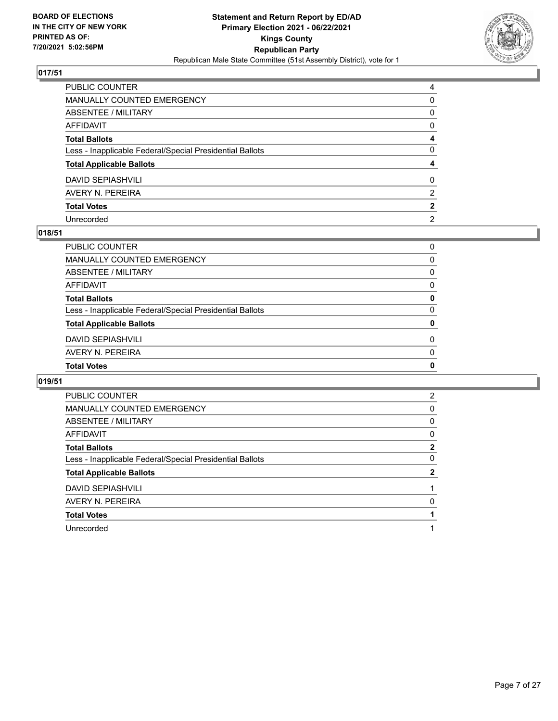

| PUBLIC COUNTER                                           | 4              |
|----------------------------------------------------------|----------------|
| MANUALLY COUNTED EMERGENCY                               | 0              |
| <b>ABSENTEE / MILITARY</b>                               | 0              |
| AFFIDAVIT                                                | $\mathbf{0}$   |
| Total Ballots                                            | 4              |
| Less - Inapplicable Federal/Special Presidential Ballots | $\mathbf{0}$   |
| <b>Total Applicable Ballots</b>                          | 4              |
| DAVID SEPIASHVILI                                        | $\mathbf{0}$   |
| AVERY N. PEREIRA                                         | 2              |
| <b>Total Votes</b>                                       | $\mathbf{2}$   |
| Unrecorded                                               | $\overline{2}$ |

### **018/51**

| PUBLIC COUNTER                                           | 0        |
|----------------------------------------------------------|----------|
| MANUALLY COUNTED EMERGENCY                               | 0        |
| <b>ABSENTEE / MILITARY</b>                               | $\Omega$ |
| AFFIDAVIT                                                | $\Omega$ |
| <b>Total Ballots</b>                                     | 0        |
| Less - Inapplicable Federal/Special Presidential Ballots | $\Omega$ |
| <b>Total Applicable Ballots</b>                          | 0        |
| <b>DAVID SEPIASHVILI</b>                                 | $\Omega$ |
| AVERY N. PEREIRA                                         | $\Omega$ |
| <b>Total Votes</b>                                       | 0        |
|                                                          |          |

| <b>PUBLIC COUNTER</b>                                    | $\overline{2}$ |
|----------------------------------------------------------|----------------|
| MANUALLY COUNTED EMERGENCY                               | 0              |
| ABSENTEE / MILITARY                                      | 0              |
| AFFIDAVIT                                                | 0              |
| <b>Total Ballots</b>                                     | $\mathbf{2}$   |
| Less - Inapplicable Federal/Special Presidential Ballots | 0              |
| <b>Total Applicable Ballots</b>                          | 2              |
| <b>DAVID SEPIASHVILI</b>                                 |                |
| AVERY N. PEREIRA                                         | 0              |
| <b>Total Votes</b>                                       |                |
| Unrecorded                                               |                |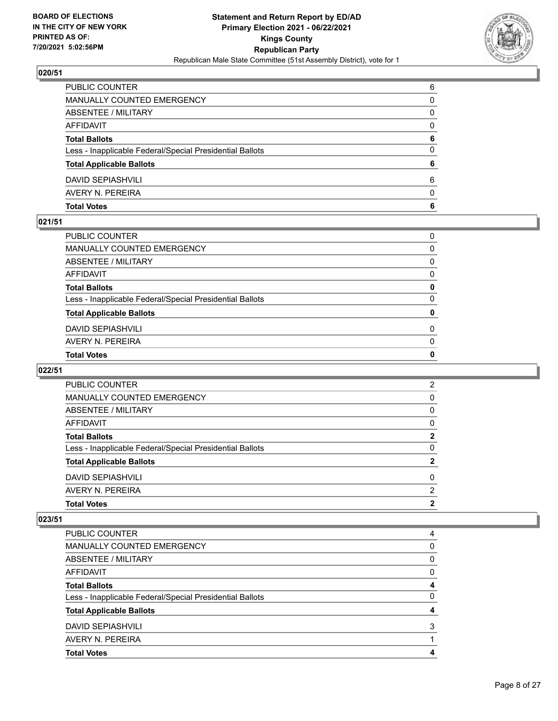

| <b>Total Votes</b>                                       | 6        |
|----------------------------------------------------------|----------|
| AVERY N. PEREIRA                                         | $\Omega$ |
| <b>DAVID SEPIASHVILI</b>                                 | 6        |
| <b>Total Applicable Ballots</b>                          | 6        |
| Less - Inapplicable Federal/Special Presidential Ballots | $\Omega$ |
| <b>Total Ballots</b>                                     | 6        |
| <b>AFFIDAVIT</b>                                         | 0        |
| <b>ABSENTEE / MILITARY</b>                               | 0        |
| MANUALLY COUNTED EMERGENCY                               | 0        |
| PUBLIC COUNTER                                           | 6        |

### **021/51**

| PUBLIC COUNTER                                           | $\Omega$     |
|----------------------------------------------------------|--------------|
| MANUALLY COUNTED EMERGENCY                               | 0            |
| ABSENTEE / MILITARY                                      | $\Omega$     |
| AFFIDAVIT                                                | $\Omega$     |
| Total Ballots                                            | 0            |
| Less - Inapplicable Federal/Special Presidential Ballots | $\mathbf{0}$ |
| <b>Total Applicable Ballots</b>                          | 0            |
| DAVID SEPIASHVILI                                        | $\Omega$     |
| AVERY N. PEREIRA                                         | $\mathbf{0}$ |
| <b>Total Votes</b>                                       | 0            |
|                                                          |              |

# **022/51**

| <b>Total Votes</b>                                       | 2 |
|----------------------------------------------------------|---|
| AVERY N. PEREIRA                                         | 2 |
| <b>DAVID SEPIASHVILI</b>                                 | 0 |
| <b>Total Applicable Ballots</b>                          | 2 |
| Less - Inapplicable Federal/Special Presidential Ballots | 0 |
| <b>Total Ballots</b>                                     | 2 |
| AFFIDAVIT                                                | 0 |
| ABSENTEE / MILITARY                                      | 0 |
| MANUALLY COUNTED EMERGENCY                               | 0 |
| <b>PUBLIC COUNTER</b>                                    | 2 |

| <b>Total Votes</b>                                       |   |
|----------------------------------------------------------|---|
| AVERY N. PEREIRA                                         |   |
| <b>DAVID SEPIASHVILI</b>                                 | 3 |
| <b>Total Applicable Ballots</b>                          |   |
| Less - Inapplicable Federal/Special Presidential Ballots | 0 |
| <b>Total Ballots</b>                                     |   |
| AFFIDAVIT                                                | 0 |
| ABSENTEE / MILITARY                                      | 0 |
| MANUALLY COUNTED EMERGENCY                               | 0 |
| <b>PUBLIC COUNTER</b>                                    | 4 |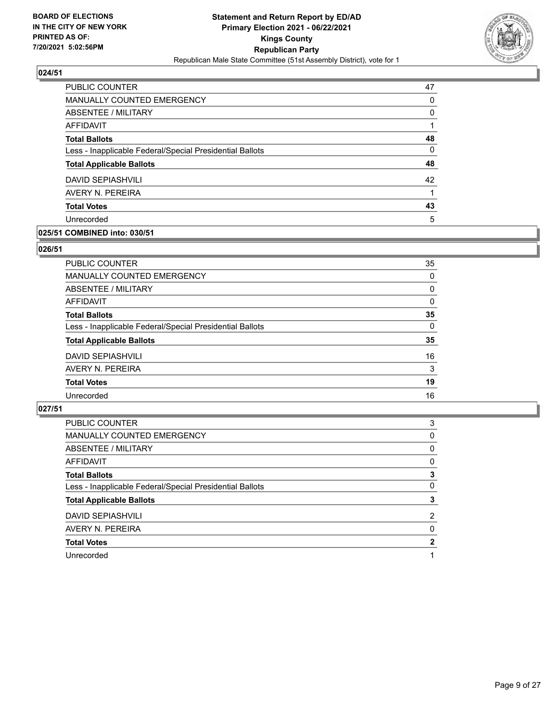

| PUBLIC COUNTER                                           | 47       |
|----------------------------------------------------------|----------|
| <b>MANUALLY COUNTED EMERGENCY</b>                        | 0        |
| ABSENTEE / MILITARY                                      | $\Omega$ |
| AFFIDAVIT                                                |          |
| <b>Total Ballots</b>                                     | 48       |
| Less - Inapplicable Federal/Special Presidential Ballots | 0        |
| <b>Total Applicable Ballots</b>                          | 48       |
| DAVID SEPIASHVILI                                        | 42       |
| AVERY N. PEREIRA                                         |          |
| <b>Total Votes</b>                                       | 43       |
| Unrecorded                                               | 5        |

# **025/51 COMBINED into: 030/51**

### **026/51**

| PUBLIC COUNTER                                           | 35       |
|----------------------------------------------------------|----------|
| <b>MANUALLY COUNTED EMERGENCY</b>                        | $\Omega$ |
| <b>ABSENTEE / MILITARY</b>                               | 0        |
| <b>AFFIDAVIT</b>                                         | $\Omega$ |
| <b>Total Ballots</b>                                     | 35       |
| Less - Inapplicable Federal/Special Presidential Ballots | $\Omega$ |
| <b>Total Applicable Ballots</b>                          | 35       |
| <b>DAVID SEPIASHVILI</b>                                 | 16       |
| AVERY N. PEREIRA                                         | 3        |
| <b>Total Votes</b>                                       | 19       |
| Unrecorded                                               | 16       |
|                                                          |          |

| <b>PUBLIC COUNTER</b>                                    | 3        |
|----------------------------------------------------------|----------|
| MANUALLY COUNTED EMERGENCY                               | 0        |
| ABSENTEE / MILITARY                                      | $\Omega$ |
| AFFIDAVIT                                                | 0        |
| <b>Total Ballots</b>                                     | 3        |
| Less - Inapplicable Federal/Special Presidential Ballots | 0        |
| <b>Total Applicable Ballots</b>                          | 3        |
| <b>DAVID SEPIASHVILI</b>                                 | 2        |
| AVERY N. PEREIRA                                         | 0        |
| <b>Total Votes</b>                                       | 2        |
| Unrecorded                                               |          |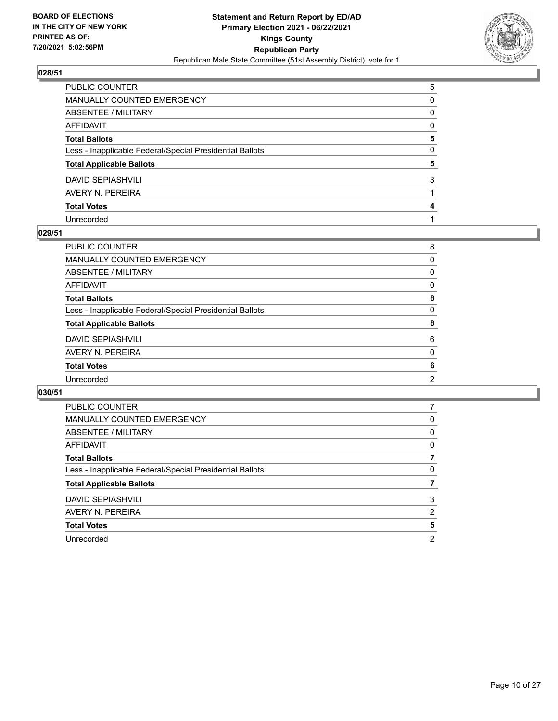

| PUBLIC COUNTER                                           | 5            |
|----------------------------------------------------------|--------------|
| MANUALLY COUNTED EMERGENCY                               | 0            |
| ABSENTEE / MILITARY                                      | $\Omega$     |
| AFFIDAVIT                                                | $\Omega$     |
| Total Ballots                                            | 5            |
| Less - Inapplicable Federal/Special Presidential Ballots | $\mathbf{0}$ |
| <b>Total Applicable Ballots</b>                          | 5            |
| DAVID SEPIASHVILI                                        | 3            |
| AVERY N. PEREIRA                                         |              |
| <b>Total Votes</b>                                       | 4            |
| Unrecorded                                               |              |

### **029/51**

| PUBLIC COUNTER                                           | 8        |
|----------------------------------------------------------|----------|
| <b>MANUALLY COUNTED EMERGENCY</b>                        | $\Omega$ |
| <b>ABSENTEE / MILITARY</b>                               | 0        |
| <b>AFFIDAVIT</b>                                         | $\Omega$ |
| <b>Total Ballots</b>                                     | 8        |
| Less - Inapplicable Federal/Special Presidential Ballots | $\Omega$ |
| <b>Total Applicable Ballots</b>                          | 8        |
| <b>DAVID SEPIASHVILI</b>                                 | 6        |
| AVERY N. PEREIRA                                         | $\Omega$ |
| <b>Total Votes</b>                                       | 6        |
| Unrecorded                                               | 2        |
|                                                          |          |

| <b>PUBLIC COUNTER</b>                                    |   |
|----------------------------------------------------------|---|
| <b>MANUALLY COUNTED EMERGENCY</b>                        | 0 |
| ABSENTEE / MILITARY                                      | 0 |
| AFFIDAVIT                                                | 0 |
| <b>Total Ballots</b>                                     |   |
| Less - Inapplicable Federal/Special Presidential Ballots | 0 |
| <b>Total Applicable Ballots</b>                          |   |
| <b>DAVID SEPIASHVILI</b>                                 | 3 |
| AVERY N. PEREIRA                                         | 2 |
| <b>Total Votes</b>                                       | 5 |
| Unrecorded                                               | 2 |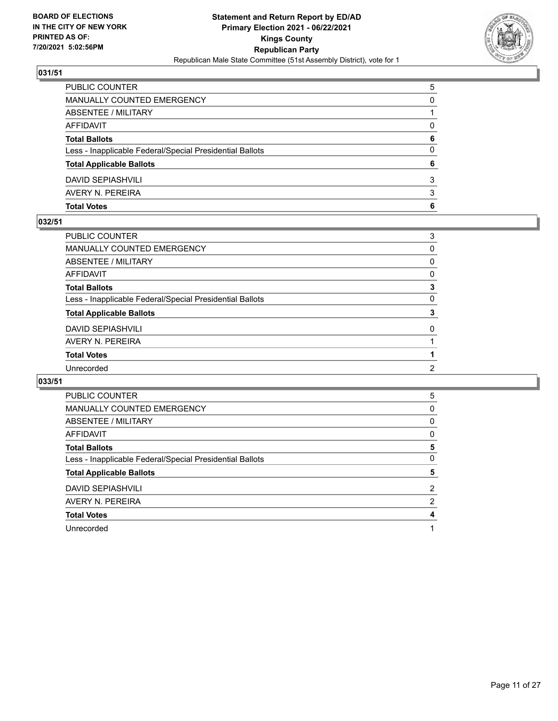

| <b>Total Votes</b>                                       | 6 |
|----------------------------------------------------------|---|
| AVERY N. PEREIRA                                         | 3 |
| <b>DAVID SEPIASHVILI</b>                                 | 3 |
| <b>Total Applicable Ballots</b>                          | 6 |
| Less - Inapplicable Federal/Special Presidential Ballots | 0 |
| <b>Total Ballots</b>                                     | 6 |
| AFFIDAVIT                                                | 0 |
| <b>ABSENTEE / MILITARY</b>                               |   |
| MANUALLY COUNTED EMERGENCY                               | 0 |
| PUBLIC COUNTER                                           | 5 |

### **032/51**

| PUBLIC COUNTER                                           | 3 |
|----------------------------------------------------------|---|
| MANUALLY COUNTED EMERGENCY                               | 0 |
| ABSENTEE / MILITARY                                      | 0 |
| AFFIDAVIT                                                | 0 |
| <b>Total Ballots</b>                                     | 3 |
| Less - Inapplicable Federal/Special Presidential Ballots | 0 |
| <b>Total Applicable Ballots</b>                          | 3 |
| DAVID SEPIASHVILI                                        | 0 |
| AVERY N. PEREIRA                                         |   |
| <b>Total Votes</b>                                       |   |
| Unrecorded                                               | 2 |
|                                                          |   |

| <b>PUBLIC COUNTER</b>                                    | 5        |
|----------------------------------------------------------|----------|
| <b>MANUALLY COUNTED EMERGENCY</b>                        | 0        |
| ABSENTEE / MILITARY                                      | $\Omega$ |
| AFFIDAVIT                                                | 0        |
| <b>Total Ballots</b>                                     | 5        |
| Less - Inapplicable Federal/Special Presidential Ballots | 0        |
| <b>Total Applicable Ballots</b>                          | 5        |
| <b>DAVID SEPIASHVILI</b>                                 | 2        |
| AVERY N. PEREIRA                                         | 2        |
| <b>Total Votes</b>                                       | 4        |
| Unrecorded                                               |          |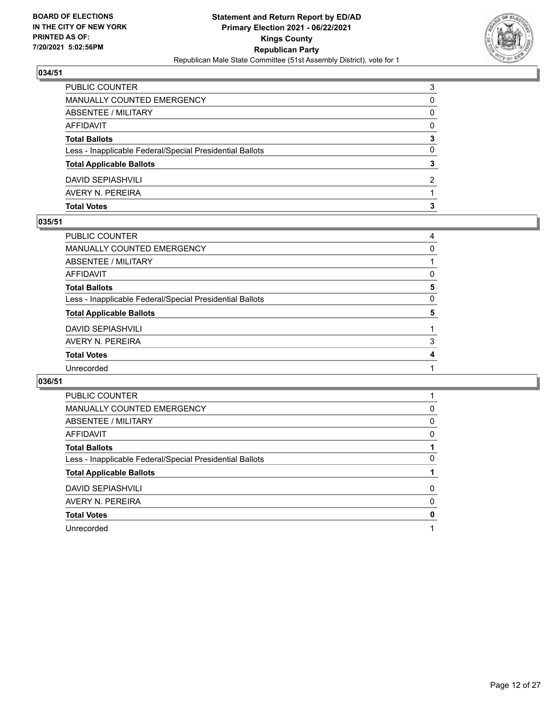

| <b>Total Votes</b>                                       |   |
|----------------------------------------------------------|---|
| AVERY N. PEREIRA                                         |   |
| DAVID SEPIASHVILI                                        | 2 |
| <b>Total Applicable Ballots</b>                          | 3 |
| Less - Inapplicable Federal/Special Presidential Ballots | 0 |
| <b>Total Ballots</b>                                     | 3 |
| AFFIDAVIT                                                | 0 |
| ABSENTEE / MILITARY                                      | 0 |
| <b>MANUALLY COUNTED EMERGENCY</b>                        | 0 |
| <b>PUBLIC COUNTER</b>                                    | 3 |

### **035/51**

| PUBLIC COUNTER                                           | 4        |
|----------------------------------------------------------|----------|
| <b>MANUALLY COUNTED EMERGENCY</b>                        | $\Omega$ |
| ABSENTEE / MILITARY                                      |          |
| AFFIDAVIT                                                | 0        |
| <b>Total Ballots</b>                                     | 5        |
| Less - Inapplicable Federal/Special Presidential Ballots | $\Omega$ |
| <b>Total Applicable Ballots</b>                          | 5        |
| <b>DAVID SEPIASHVILI</b>                                 |          |
| AVERY N. PEREIRA                                         | 3        |
| <b>Total Votes</b>                                       | 4        |
| Unrecorded                                               |          |
|                                                          |          |

| <b>PUBLIC COUNTER</b>                                    |   |
|----------------------------------------------------------|---|
| MANUALLY COUNTED EMERGENCY                               | 0 |
| ABSENTEE / MILITARY                                      | 0 |
| AFFIDAVIT                                                | 0 |
| <b>Total Ballots</b>                                     |   |
| Less - Inapplicable Federal/Special Presidential Ballots | 0 |
| <b>Total Applicable Ballots</b>                          |   |
| <b>DAVID SEPIASHVILI</b>                                 | 0 |
| AVERY N. PEREIRA                                         | 0 |
| <b>Total Votes</b>                                       | 0 |
| Unrecorded                                               |   |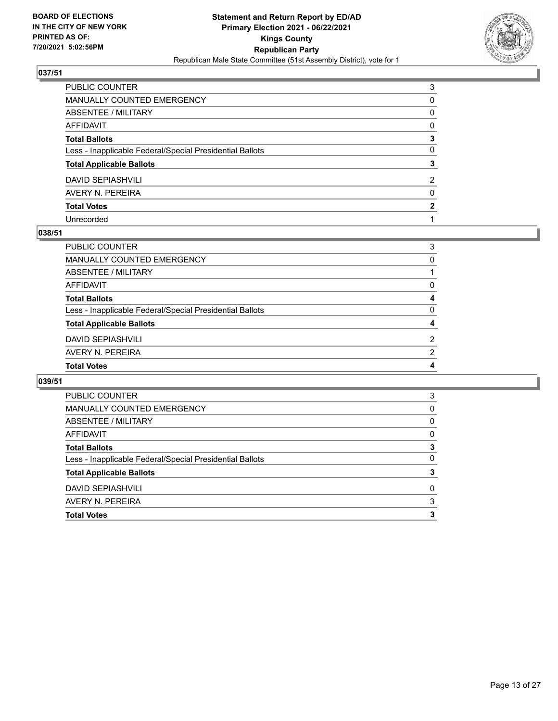

| PUBLIC COUNTER                                           | 3            |
|----------------------------------------------------------|--------------|
| MANUALLY COUNTED EMERGENCY                               | $\Omega$     |
| ABSENTEE / MILITARY                                      | 0            |
| AFFIDAVIT                                                | $\mathbf{0}$ |
| Total Ballots                                            | 3            |
| Less - Inapplicable Federal/Special Presidential Ballots | $\mathbf{0}$ |
| <b>Total Applicable Ballots</b>                          | 3            |
| DAVID SEPIASHVILI                                        | 2            |
| AVERY N. PEREIRA                                         | $\mathbf{0}$ |
| <b>Total Votes</b>                                       | 2            |
| Unrecorded                                               |              |

### **038/51**

| PUBLIC COUNTER                                           | 3             |
|----------------------------------------------------------|---------------|
| MANUALLY COUNTED EMERGENCY                               | 0             |
| ABSENTEE / MILITARY                                      |               |
| AFFIDAVIT                                                | 0             |
| <b>Total Ballots</b>                                     | 4             |
| Less - Inapplicable Federal/Special Presidential Ballots | $\Omega$      |
| <b>Total Applicable Ballots</b>                          | 4             |
| <b>DAVID SEPIASHVILI</b>                                 | $\mathcal{P}$ |
| AVERY N. PEREIRA                                         | $\mathcal{P}$ |
| <b>Total Votes</b>                                       | 4             |
|                                                          |               |

| PUBLIC COUNTER                                           | 3 |
|----------------------------------------------------------|---|
| MANUALLY COUNTED EMERGENCY                               | 0 |
| ABSENTEE / MILITARY                                      | 0 |
| AFFIDAVIT                                                | 0 |
| <b>Total Ballots</b>                                     | 3 |
| Less - Inapplicable Federal/Special Presidential Ballots | 0 |
| <b>Total Applicable Ballots</b>                          | 3 |
| <b>DAVID SEPIASHVILI</b>                                 | 0 |
| AVERY N. PEREIRA                                         | 3 |
| <b>Total Votes</b>                                       | 3 |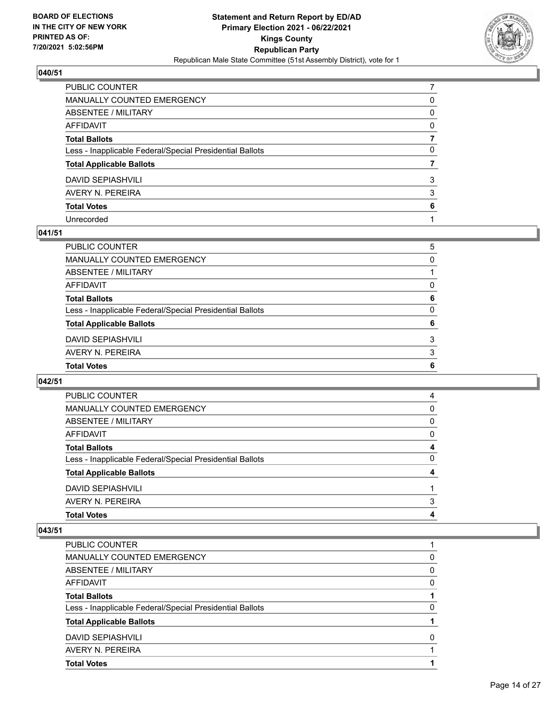

# $\sqrt{040/51}$

| PUBLIC COUNTER                                           |          |
|----------------------------------------------------------|----------|
| MANUALLY COUNTED EMERGENCY                               | 0        |
| ABSENTEE / MILITARY                                      | $\Omega$ |
| AFFIDAVIT                                                | $\Omega$ |
| Total Ballots                                            |          |
| Less - Inapplicable Federal/Special Presidential Ballots | $\Omega$ |
| <b>Total Applicable Ballots</b>                          |          |
| DAVID SEPIASHVILI                                        | 3        |
| AVERY N. PEREIRA                                         | 3        |
| <b>Total Votes</b>                                       | 6        |
| Unrecorded                                               |          |

### **041/51**

| <b>Total Ballots</b>                                     | 6        |
|----------------------------------------------------------|----------|
| Less - Inapplicable Federal/Special Presidential Ballots | $\Omega$ |
| <b>Total Applicable Ballots</b>                          | 6        |
| <b>DAVID SEPIASHVILI</b>                                 | 3        |
| AVERY N. PEREIRA                                         | 3        |
| <b>Total Votes</b>                                       | 6        |
|                                                          |          |

# **042/51**

| PUBLIC COUNTER                                           | 4        |
|----------------------------------------------------------|----------|
| MANUALLY COUNTED EMERGENCY                               | 0        |
| ABSENTEE / MILITARY                                      | 0        |
| AFFIDAVIT                                                | $\Omega$ |
| <b>Total Ballots</b>                                     | 4        |
| Less - Inapplicable Federal/Special Presidential Ballots | 0        |
| <b>Total Applicable Ballots</b>                          | 4        |
| <b>DAVID SEPIASHVILI</b>                                 |          |
| AVERY N. PEREIRA                                         | 3        |
| <b>Total Votes</b>                                       | 4        |

| <b>Total Votes</b>                                       |          |
|----------------------------------------------------------|----------|
| AVERY N. PEREIRA                                         |          |
| <b>DAVID SEPIASHVILI</b>                                 | O        |
| <b>Total Applicable Ballots</b>                          |          |
| Less - Inapplicable Federal/Special Presidential Ballots | 0        |
| <b>Total Ballots</b>                                     |          |
| AFFIDAVIT                                                | 0        |
| ABSENTEE / MILITARY                                      | $\Omega$ |
| <b>MANUALLY COUNTED EMERGENCY</b>                        | 0        |
| PUBLIC COUNTER                                           |          |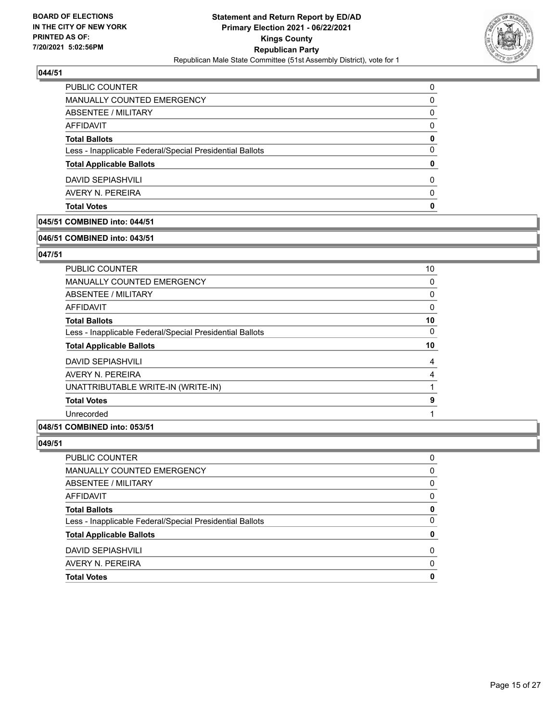

| <b>Total Votes</b>                                       | 0        |
|----------------------------------------------------------|----------|
| AVERY N. PEREIRA                                         | $\Omega$ |
| <b>DAVID SEPIASHVILI</b>                                 | 0        |
| <b>Total Applicable Ballots</b>                          | 0        |
| Less - Inapplicable Federal/Special Presidential Ballots | 0        |
| <b>Total Ballots</b>                                     | 0        |
| AFFIDAVIT                                                | $\Omega$ |
| ABSENTEE / MILITARY                                      | 0        |
| MANUALLY COUNTED EMERGENCY                               | 0        |
| PUBLIC COUNTER                                           | 0        |

# **045/51 COMBINED into: 044/51**

### **046/51 COMBINED into: 043/51**

### **047/51**

| <b>PUBLIC COUNTER</b>                                    | 10       |
|----------------------------------------------------------|----------|
| MANUALLY COUNTED EMERGENCY                               | 0        |
| ABSENTEE / MILITARY                                      | 0        |
| AFFIDAVIT                                                | 0        |
| <b>Total Ballots</b>                                     | 10       |
| Less - Inapplicable Federal/Special Presidential Ballots | $\Omega$ |
| <b>Total Applicable Ballots</b>                          | 10       |
| <b>DAVID SEPIASHVILI</b>                                 | 4        |
| AVERY N. PEREIRA                                         | 4        |
| UNATTRIBUTABLE WRITE-IN (WRITE-IN)                       |          |
| <b>Total Votes</b>                                       | 9        |
| Unrecorded                                               |          |

# **048/51 COMBINED into: 053/51**

| PUBLIC COUNTER                                           | 0        |
|----------------------------------------------------------|----------|
| <b>MANUALLY COUNTED EMERGENCY</b>                        | 0        |
| ABSENTEE / MILITARY                                      | 0        |
| AFFIDAVIT                                                | 0        |
| <b>Total Ballots</b>                                     | 0        |
| Less - Inapplicable Federal/Special Presidential Ballots | 0        |
| <b>Total Applicable Ballots</b>                          | 0        |
| <b>DAVID SEPIASHVILI</b>                                 | 0        |
| AVERY N. PEREIRA                                         | $\Omega$ |
| <b>Total Votes</b>                                       | 0        |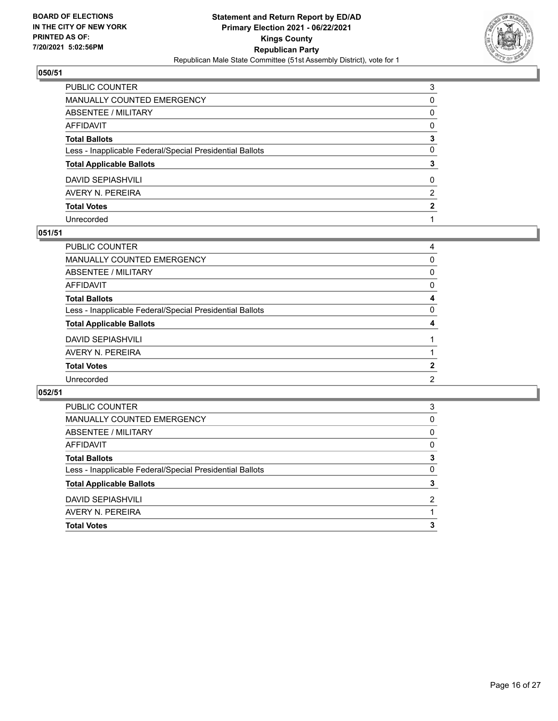

| PUBLIC COUNTER                                           | 3            |
|----------------------------------------------------------|--------------|
| MANUALLY COUNTED EMERGENCY                               | 0            |
| ABSENTEE / MILITARY                                      | 0            |
| AFFIDAVIT                                                | $\Omega$     |
| Total Ballots                                            | 3            |
| Less - Inapplicable Federal/Special Presidential Ballots | $\mathbf{0}$ |
| <b>Total Applicable Ballots</b>                          | 3            |
| DAVID SEPIASHVILI                                        | $\mathbf{0}$ |
| AVERY N. PEREIRA                                         | 2            |
| <b>Total Votes</b>                                       | 2            |
| Unrecorded                                               |              |

### **051/51**

| PUBLIC COUNTER                                           | 4        |
|----------------------------------------------------------|----------|
| <b>MANUALLY COUNTED EMERGENCY</b>                        | $\Omega$ |
| <b>ABSENTEE / MILITARY</b>                               | 0        |
| <b>AFFIDAVIT</b>                                         | $\Omega$ |
| <b>Total Ballots</b>                                     | 4        |
| Less - Inapplicable Federal/Special Presidential Ballots | $\Omega$ |
| <b>Total Applicable Ballots</b>                          | 4        |
| <b>DAVID SEPIASHVILI</b>                                 |          |
| AVERY N. PEREIRA                                         |          |
| <b>Total Votes</b>                                       | 2        |
| Unrecorded                                               | 2        |
|                                                          |          |

| <b>Total Votes</b>                                       | 3             |
|----------------------------------------------------------|---------------|
| AVERY N. PEREIRA                                         |               |
| <b>DAVID SEPIASHVILI</b>                                 | $\mathcal{P}$ |
| <b>Total Applicable Ballots</b>                          | 3             |
| Less - Inapplicable Federal/Special Presidential Ballots | 0             |
| <b>Total Ballots</b>                                     | 3             |
| AFFIDAVIT                                                | 0             |
| ABSENTEE / MILITARY                                      | 0             |
| <b>MANUALLY COUNTED EMERGENCY</b>                        | 0             |
| PUBLIC COUNTER                                           | 3             |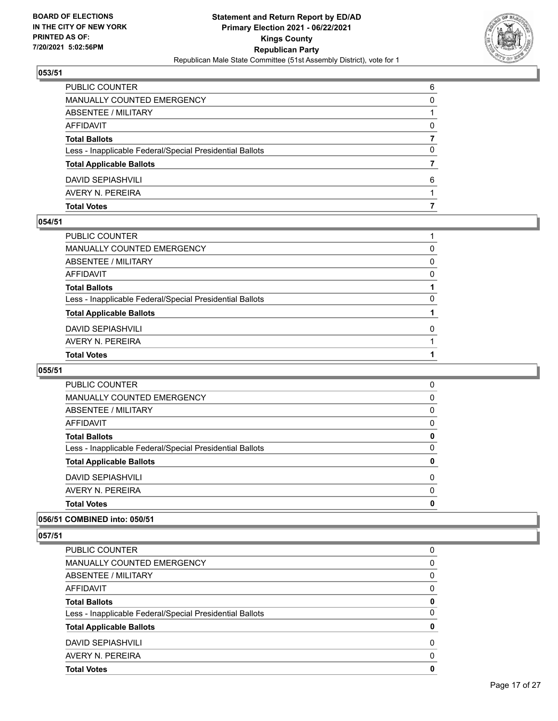

| <b>Total Votes</b>                                       |   |
|----------------------------------------------------------|---|
| AVERY N. PEREIRA                                         |   |
| <b>DAVID SEPIASHVILI</b>                                 | 6 |
| <b>Total Applicable Ballots</b>                          |   |
| Less - Inapplicable Federal/Special Presidential Ballots | 0 |
| <b>Total Ballots</b>                                     |   |
| <b>AFFIDAVIT</b>                                         | 0 |
| ABSENTEE / MILITARY                                      |   |
| MANUALLY COUNTED EMERGENCY                               | 0 |
| <b>PUBLIC COUNTER</b>                                    | 6 |

### **054/51**

| PUBLIC COUNTER                                           |          |
|----------------------------------------------------------|----------|
| MANUALLY COUNTED EMERGENCY                               | 0        |
| ABSENTEE / MILITARY                                      | $\Omega$ |
| AFFIDAVIT                                                | $\Omega$ |
| <b>Total Ballots</b>                                     |          |
| Less - Inapplicable Federal/Special Presidential Ballots | 0        |
| <b>Total Applicable Ballots</b>                          |          |
| DAVID SEPIASHVILI                                        | 0        |
| AVERY N. PEREIRA                                         |          |
| <b>Total Votes</b>                                       |          |
|                                                          |          |

# **055/51**

| <b>Total Votes</b>                                       | 0        |
|----------------------------------------------------------|----------|
| AVERY N. PEREIRA                                         | $\Omega$ |
| <b>DAVID SEPIASHVILI</b>                                 | $\Omega$ |
| <b>Total Applicable Ballots</b>                          | 0        |
| Less - Inapplicable Federal/Special Presidential Ballots | 0        |
| <b>Total Ballots</b>                                     | 0        |
| AFFIDAVIT                                                | 0        |
| ABSENTEE / MILITARY                                      | $\Omega$ |
| <b>MANUALLY COUNTED EMERGENCY</b>                        | 0        |
| <b>PUBLIC COUNTER</b>                                    | 0        |

### **056/51 COMBINED into: 050/51**

| <b>PUBLIC COUNTER</b>                                    | 0        |
|----------------------------------------------------------|----------|
| <b>MANUALLY COUNTED EMERGENCY</b>                        | 0        |
| ABSENTEE / MILITARY                                      | 0        |
| AFFIDAVIT                                                | 0        |
| <b>Total Ballots</b>                                     | 0        |
| Less - Inapplicable Federal/Special Presidential Ballots | 0        |
| <b>Total Applicable Ballots</b>                          | 0        |
| <b>DAVID SEPIASHVILI</b>                                 | 0        |
| AVERY N. PEREIRA                                         | $\Omega$ |
| <b>Total Votes</b>                                       | 0        |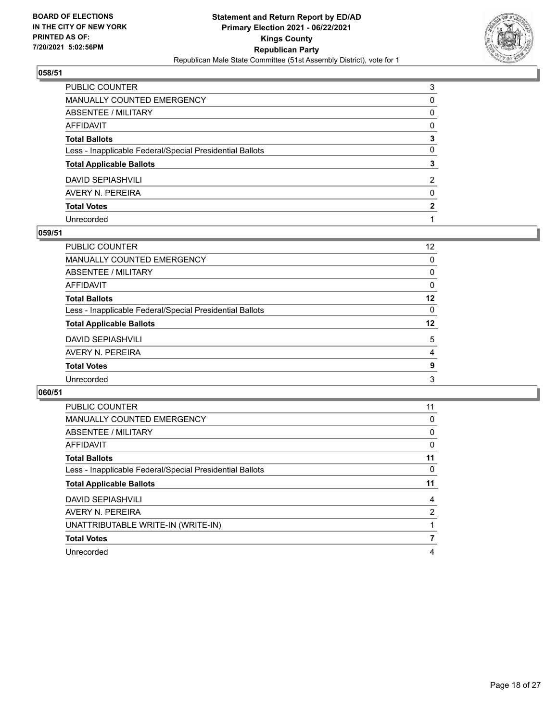

| PUBLIC COUNTER                                           | 3            |
|----------------------------------------------------------|--------------|
| MANUALLY COUNTED EMERGENCY                               | 0            |
| ABSENTEE / MILITARY                                      | $\mathbf{0}$ |
| AFFIDAVIT                                                | $\Omega$     |
| Total Ballots                                            | 3            |
| Less - Inapplicable Federal/Special Presidential Ballots | $\mathbf{0}$ |
| <b>Total Applicable Ballots</b>                          | 3            |
| DAVID SEPIASHVILI                                        | 2            |
| AVERY N. PEREIRA                                         | $\mathbf{0}$ |
| <b>Total Votes</b>                                       | 2            |
| Unrecorded                                               |              |

### **059/51**

| <b>PUBLIC COUNTER</b>                                    | 12       |
|----------------------------------------------------------|----------|
| MANUALLY COUNTED EMERGENCY                               | $\Omega$ |
| ABSENTEE / MILITARY                                      | 0        |
| AFFIDAVIT                                                | 0        |
| <b>Total Ballots</b>                                     | 12       |
| Less - Inapplicable Federal/Special Presidential Ballots | $\Omega$ |
| <b>Total Applicable Ballots</b>                          | 12       |
| <b>DAVID SEPIASHVILI</b>                                 | 5        |
| AVERY N. PEREIRA                                         | 4        |
| <b>Total Votes</b>                                       | 9        |
| Unrecorded                                               | 3        |
|                                                          |          |

| <b>PUBLIC COUNTER</b>                                    | 11 |
|----------------------------------------------------------|----|
| <b>MANUALLY COUNTED EMERGENCY</b>                        | 0  |
| ABSENTEE / MILITARY                                      | 0  |
| AFFIDAVIT                                                | 0  |
| <b>Total Ballots</b>                                     | 11 |
| Less - Inapplicable Federal/Special Presidential Ballots | 0  |
|                                                          |    |
| <b>Total Applicable Ballots</b>                          | 11 |
| <b>DAVID SEPIASHVILI</b>                                 | 4  |
| AVERY N. PEREIRA                                         | 2  |
| UNATTRIBUTABLE WRITE-IN (WRITE-IN)                       |    |
| <b>Total Votes</b>                                       |    |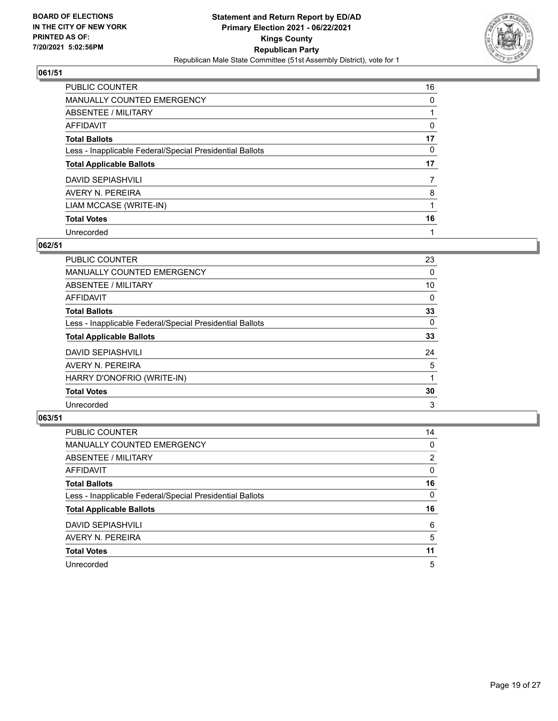

| <b>PUBLIC COUNTER</b>                                    | 16 |
|----------------------------------------------------------|----|
| MANUALLY COUNTED EMERGENCY                               | 0  |
| ABSENTEE / MILITARY                                      |    |
| AFFIDAVIT                                                | 0  |
| <b>Total Ballots</b>                                     | 17 |
| Less - Inapplicable Federal/Special Presidential Ballots | 0  |
| <b>Total Applicable Ballots</b>                          | 17 |
| DAVID SEPIASHVILI                                        | 7  |
| AVERY N. PEREIRA                                         | 8  |
| LIAM MCCASE (WRITE-IN)                                   |    |
| <b>Total Votes</b>                                       | 16 |
| Unrecorded                                               |    |

### **062/51**

| <b>PUBLIC COUNTER</b>                                    | 23       |
|----------------------------------------------------------|----------|
| <b>MANUALLY COUNTED EMERGENCY</b>                        | 0        |
| ABSENTEE / MILITARY                                      | 10       |
| AFFIDAVIT                                                | $\Omega$ |
| <b>Total Ballots</b>                                     | 33       |
| Less - Inapplicable Federal/Special Presidential Ballots | $\Omega$ |
| <b>Total Applicable Ballots</b>                          | 33       |
| <b>DAVID SEPIASHVILI</b>                                 | 24       |
| AVERY N. PEREIRA                                         | 5        |
| HARRY D'ONOFRIO (WRITE-IN)                               |          |
| <b>Total Votes</b>                                       | 30       |
| Unrecorded                                               | 3        |

| PUBLIC COUNTER                                           | 14       |
|----------------------------------------------------------|----------|
| MANUALLY COUNTED EMERGENCY                               | $\Omega$ |
| ABSENTEE / MILITARY                                      | 2        |
| AFFIDAVIT                                                | $\Omega$ |
| <b>Total Ballots</b>                                     | 16       |
| Less - Inapplicable Federal/Special Presidential Ballots | 0        |
| <b>Total Applicable Ballots</b>                          | 16       |
| <b>DAVID SEPIASHVILI</b>                                 | 6        |
| AVERY N. PEREIRA                                         | 5        |
| <b>Total Votes</b>                                       | 11       |
| Unrecorded                                               | 5        |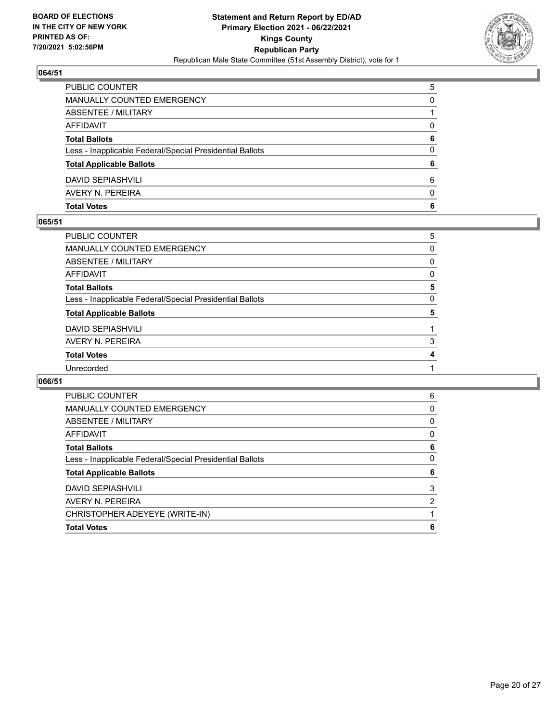

| <b>Total Votes</b>                                       | 6 |
|----------------------------------------------------------|---|
| AVERY N. PEREIRA                                         | 0 |
| DAVID SEPIASHVILI                                        | 6 |
| <b>Total Applicable Ballots</b>                          | 6 |
| Less - Inapplicable Federal/Special Presidential Ballots | 0 |
| <b>Total Ballots</b>                                     | 6 |
| AFFIDAVIT                                                | 0 |
| ABSENTEE / MILITARY                                      |   |
| MANUALLY COUNTED EMERGENCY                               | 0 |
| PUBLIC COUNTER                                           | 5 |

### **065/51**

| PUBLIC COUNTER                                           | 5 |
|----------------------------------------------------------|---|
| <b>MANUALLY COUNTED EMERGENCY</b>                        | 0 |
| <b>ABSENTEE / MILITARY</b>                               | 0 |
| AFFIDAVIT                                                | 0 |
| <b>Total Ballots</b>                                     | 5 |
| Less - Inapplicable Federal/Special Presidential Ballots | 0 |
| <b>Total Applicable Ballots</b>                          | 5 |
| <b>DAVID SEPIASHVILI</b>                                 |   |
| AVERY N. PEREIRA                                         | 3 |
| <b>Total Votes</b>                                       | 4 |
| Unrecorded                                               |   |
|                                                          |   |

| <b>PUBLIC COUNTER</b>                                    | 6 |
|----------------------------------------------------------|---|
| <b>MANUALLY COUNTED EMERGENCY</b>                        | 0 |
| ABSENTEE / MILITARY                                      | 0 |
| AFFIDAVIT                                                | 0 |
| <b>Total Ballots</b>                                     | 6 |
| Less - Inapplicable Federal/Special Presidential Ballots | 0 |
| <b>Total Applicable Ballots</b>                          | 6 |
| <b>DAVID SEPIASHVILI</b>                                 | 3 |
| AVERY N. PEREIRA                                         | 2 |
| CHRISTOPHER ADEYEYE (WRITE-IN)                           |   |
| <b>Total Votes</b>                                       | 6 |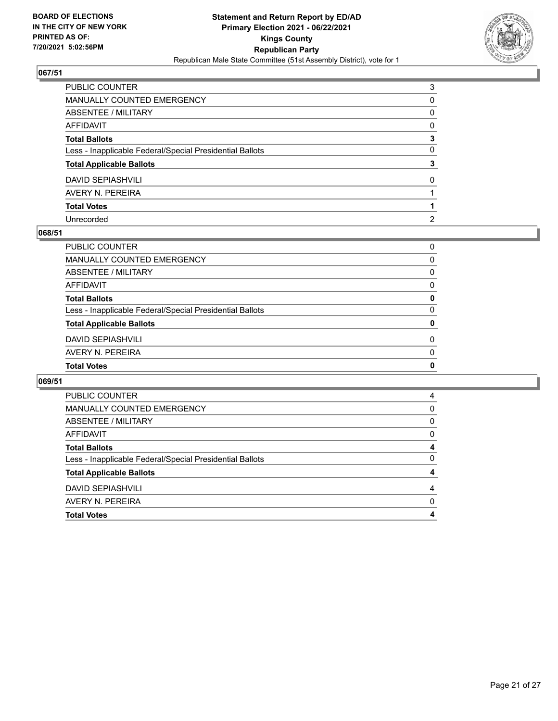

| PUBLIC COUNTER                                           | 3              |
|----------------------------------------------------------|----------------|
| MANUALLY COUNTED EMERGENCY                               | 0              |
| ABSENTEE / MILITARY                                      | 0              |
| AFFIDAVIT                                                | $\Omega$       |
| Total Ballots                                            | 3              |
| Less - Inapplicable Federal/Special Presidential Ballots | $\mathbf{0}$   |
| <b>Total Applicable Ballots</b>                          | 3              |
| DAVID SEPIASHVILI                                        | $\Omega$       |
| AVERY N. PEREIRA                                         |                |
| <b>Total Votes</b>                                       |                |
| Unrecorded                                               | $\overline{2}$ |

### **068/51**

| <b>Total Votes</b>                                       | 0        |
|----------------------------------------------------------|----------|
| AVERY N. PEREIRA                                         | $\Omega$ |
| <b>DAVID SEPIASHVILI</b>                                 | $\Omega$ |
| <b>Total Applicable Ballots</b>                          | 0        |
| Less - Inapplicable Federal/Special Presidential Ballots | $\Omega$ |
| <b>Total Ballots</b>                                     | 0        |
| <b>AFFIDAVIT</b>                                         | $\Omega$ |
| ABSENTEE / MILITARY                                      | 0        |
| <b>MANUALLY COUNTED EMERGENCY</b>                        | 0        |
| PUBLIC COUNTER                                           | 0        |

| PUBLIC COUNTER<br>4<br><b>MANUALLY COUNTED EMERGENCY</b><br>0<br>ABSENTEE / MILITARY<br>0<br>AFFIDAVIT<br>0<br><b>Total Ballots</b><br>0<br>Less - Inapplicable Federal/Special Presidential Ballots<br><b>Total Applicable Ballots</b><br><b>DAVID SEPIASHVILI</b><br>4<br>AVERY N. PEREIRA<br>0<br><b>Total Votes</b> |  |
|-------------------------------------------------------------------------------------------------------------------------------------------------------------------------------------------------------------------------------------------------------------------------------------------------------------------------|--|
|                                                                                                                                                                                                                                                                                                                         |  |
|                                                                                                                                                                                                                                                                                                                         |  |
|                                                                                                                                                                                                                                                                                                                         |  |
|                                                                                                                                                                                                                                                                                                                         |  |
|                                                                                                                                                                                                                                                                                                                         |  |
|                                                                                                                                                                                                                                                                                                                         |  |
|                                                                                                                                                                                                                                                                                                                         |  |
|                                                                                                                                                                                                                                                                                                                         |  |
|                                                                                                                                                                                                                                                                                                                         |  |
|                                                                                                                                                                                                                                                                                                                         |  |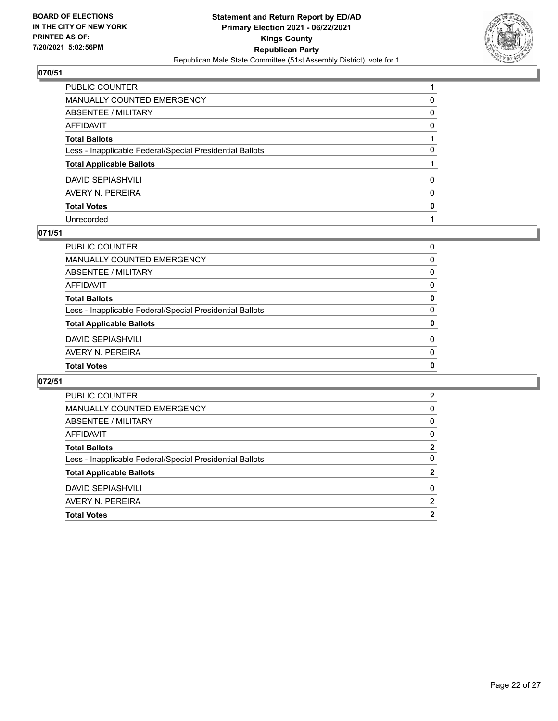

| PUBLIC COUNTER                                           |          |
|----------------------------------------------------------|----------|
| MANUALLY COUNTED EMERGENCY                               | 0        |
| <b>ABSENTEE / MILITARY</b>                               | 0        |
| AFFIDAVIT                                                | $\Omega$ |
| Total Ballots                                            |          |
| Less - Inapplicable Federal/Special Presidential Ballots | 0        |
| <b>Total Applicable Ballots</b>                          |          |
| DAVID SEPIASHVILI                                        | $\Omega$ |
| AVERY N. PEREIRA                                         | $\Omega$ |
| <b>Total Votes</b>                                       | 0        |
| Unrecorded                                               |          |

### **071/51**

| <b>Total Votes</b>                                       | 0        |
|----------------------------------------------------------|----------|
| AVERY N. PEREIRA                                         | $\Omega$ |
| <b>DAVID SEPIASHVILI</b>                                 | $\Omega$ |
| <b>Total Applicable Ballots</b>                          | 0        |
| Less - Inapplicable Federal/Special Presidential Ballots | $\Omega$ |
| <b>Total Ballots</b>                                     | 0        |
| AFFIDAVIT                                                | 0        |
| ABSENTEE / MILITARY                                      | 0        |
| MANUALLY COUNTED EMERGENCY                               | 0        |
| PUBLIC COUNTER                                           | 0        |

| <b>PUBLIC COUNTER</b>                                    | 2           |
|----------------------------------------------------------|-------------|
| MANUALLY COUNTED EMERGENCY                               | 0           |
| ABSENTEE / MILITARY                                      | 0           |
| AFFIDAVIT                                                | 0           |
| <b>Total Ballots</b>                                     | 2           |
| Less - Inapplicable Federal/Special Presidential Ballots | $\Omega$    |
| <b>Total Applicable Ballots</b>                          | 2           |
| <b>DAVID SEPIASHVILI</b>                                 | $\Omega$    |
| AVERY N. PEREIRA                                         | 2           |
| <b>Total Votes</b>                                       | $\mathbf 2$ |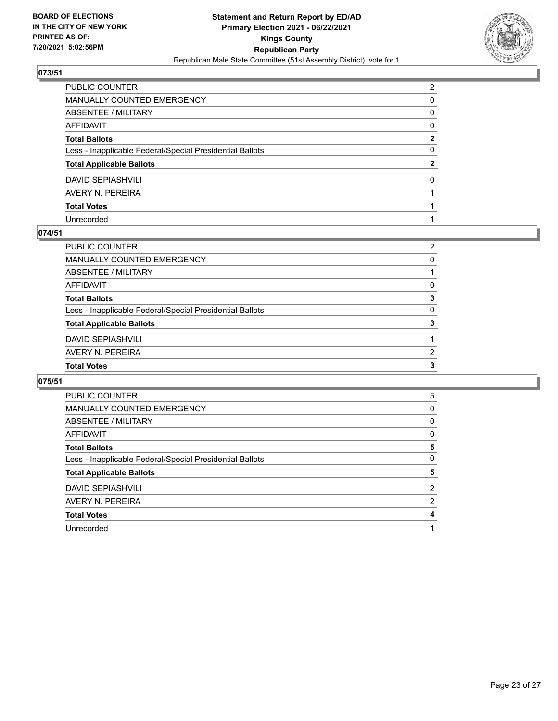

| PUBLIC COUNTER                                           | $\overline{2}$ |
|----------------------------------------------------------|----------------|
| MANUALLY COUNTED EMERGENCY                               | 0              |
| ABSENTEE / MILITARY                                      | $\mathbf{0}$   |
| AFFIDAVIT                                                | $\Omega$       |
| Total Ballots                                            | $\mathbf{2}$   |
| Less - Inapplicable Federal/Special Presidential Ballots | $\mathbf{0}$   |
| <b>Total Applicable Ballots</b>                          | $\mathbf{2}$   |
| DAVID SEPIASHVILI                                        | $\Omega$       |
| AVERY N. PEREIRA                                         |                |
| <b>Total Votes</b>                                       |                |
| Unrecorded                                               |                |

### **074/51**

| ABSENTEE / MILITARY                                      |               |
|----------------------------------------------------------|---------------|
| AFFIDAVIT                                                | 0             |
| <b>Total Ballots</b>                                     | 3             |
| Less - Inapplicable Federal/Special Presidential Ballots | $\Omega$      |
| <b>Total Applicable Ballots</b>                          | 3             |
| <b>DAVID SEPIASHVILI</b>                                 |               |
| AVERY N. PEREIRA                                         | $\mathcal{P}$ |
| <b>Total Votes</b>                                       | 3             |
|                                                          |               |

| <b>PUBLIC COUNTER</b>                                    | 5              |
|----------------------------------------------------------|----------------|
| <b>MANUALLY COUNTED EMERGENCY</b>                        | 0              |
| ABSENTEE / MILITARY                                      | 0              |
| AFFIDAVIT                                                | 0              |
| <b>Total Ballots</b>                                     | 5              |
| Less - Inapplicable Federal/Special Presidential Ballots | 0              |
| <b>Total Applicable Ballots</b>                          | 5              |
| <b>DAVID SEPIASHVILI</b>                                 | $\overline{2}$ |
| AVERY N. PEREIRA                                         | 2              |
| <b>Total Votes</b>                                       | 4              |
| Unrecorded                                               |                |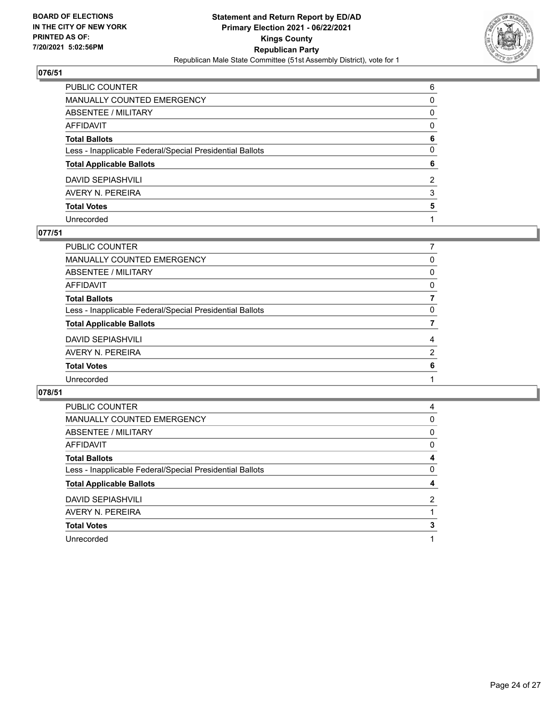

| PUBLIC COUNTER                                           | 6            |
|----------------------------------------------------------|--------------|
| MANUALLY COUNTED EMERGENCY                               | 0            |
| <b>ABSENTEE / MILITARY</b>                               | 0            |
| AFFIDAVIT                                                | $\Omega$     |
| Total Ballots                                            | 6            |
| Less - Inapplicable Federal/Special Presidential Ballots | $\mathbf{0}$ |
| <b>Total Applicable Ballots</b>                          | 6            |
| DAVID SEPIASHVILI                                        | 2            |
| AVERY N. PEREIRA                                         | 3            |
| <b>Total Votes</b>                                       | 5            |
| Unrecorded                                               |              |

### **077/51**

| PUBLIC COUNTER                                           |                |
|----------------------------------------------------------|----------------|
| <b>MANUALLY COUNTED EMERGENCY</b>                        | 0              |
| <b>ABSENTEE / MILITARY</b>                               | 0              |
| <b>AFFIDAVIT</b>                                         | $\Omega$       |
| <b>Total Ballots</b>                                     | 7              |
| Less - Inapplicable Federal/Special Presidential Ballots | 0              |
| <b>Total Applicable Ballots</b>                          |                |
| <b>DAVID SEPIASHVILI</b>                                 | 4              |
| AVERY N. PEREIRA                                         | $\overline{2}$ |
| <b>Total Votes</b>                                       | 6              |
| Unrecorded                                               |                |
|                                                          |                |

| <b>PUBLIC COUNTER</b>                                    | 4             |
|----------------------------------------------------------|---------------|
| <b>MANUALLY COUNTED EMERGENCY</b>                        | 0             |
| ABSENTEE / MILITARY                                      | 0             |
| AFFIDAVIT                                                | 0             |
| <b>Total Ballots</b>                                     | 4             |
| Less - Inapplicable Federal/Special Presidential Ballots | 0             |
| <b>Total Applicable Ballots</b>                          | 4             |
|                                                          |               |
| <b>DAVID SEPIASHVILI</b>                                 | $\mathcal{P}$ |
| AVERY N. PEREIRA                                         |               |
| <b>Total Votes</b>                                       | 3             |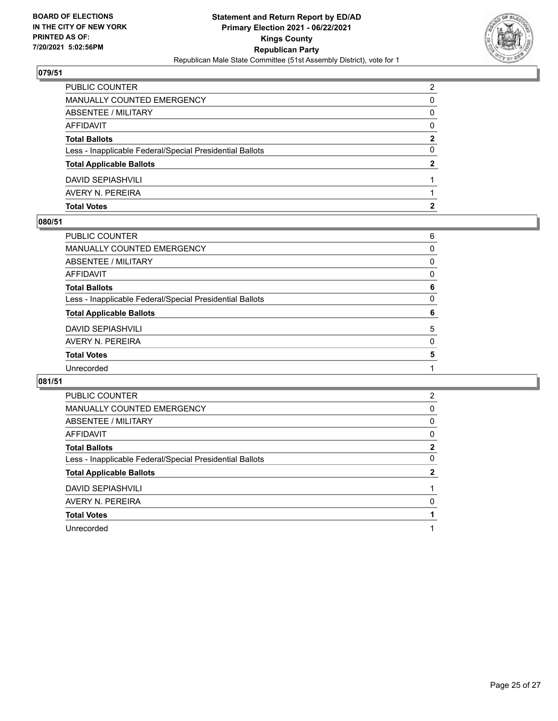

| <b>Total Votes</b>                                       | 2 |
|----------------------------------------------------------|---|
| AVERY N. PEREIRA                                         |   |
| <b>DAVID SEPIASHVILI</b>                                 |   |
| <b>Total Applicable Ballots</b>                          | 2 |
| Less - Inapplicable Federal/Special Presidential Ballots | 0 |
| <b>Total Ballots</b>                                     | 2 |
| AFFIDAVIT                                                | 0 |
| <b>ABSENTEE / MILITARY</b>                               | 0 |
| MANUALLY COUNTED EMERGENCY                               | 0 |
| PUBLIC COUNTER                                           | 2 |

### **080/51**

| PUBLIC COUNTER                                           | 6 |
|----------------------------------------------------------|---|
| MANUALLY COUNTED EMERGENCY                               | 0 |
| ABSENTEE / MILITARY                                      | 0 |
| AFFIDAVIT                                                | 0 |
| <b>Total Ballots</b>                                     | 6 |
| Less - Inapplicable Federal/Special Presidential Ballots | 0 |
| <b>Total Applicable Ballots</b>                          | 6 |
| DAVID SEPIASHVILI                                        | 5 |
| AVERY N. PEREIRA                                         | 0 |
| <b>Total Votes</b>                                       | 5 |
|                                                          |   |
| Unrecorded                                               |   |

| <b>PUBLIC COUNTER</b>                                    | 2            |
|----------------------------------------------------------|--------------|
|                                                          |              |
| MANUALLY COUNTED EMERGENCY                               | 0            |
| ABSENTEE / MILITARY                                      | 0            |
| AFFIDAVIT                                                | 0            |
| <b>Total Ballots</b>                                     | 2            |
| Less - Inapplicable Federal/Special Presidential Ballots | 0            |
| <b>Total Applicable Ballots</b>                          | $\mathbf{2}$ |
| <b>DAVID SEPIASHVILI</b>                                 |              |
| AVERY N. PEREIRA                                         | 0            |
| <b>Total Votes</b>                                       |              |
| Unrecorded                                               |              |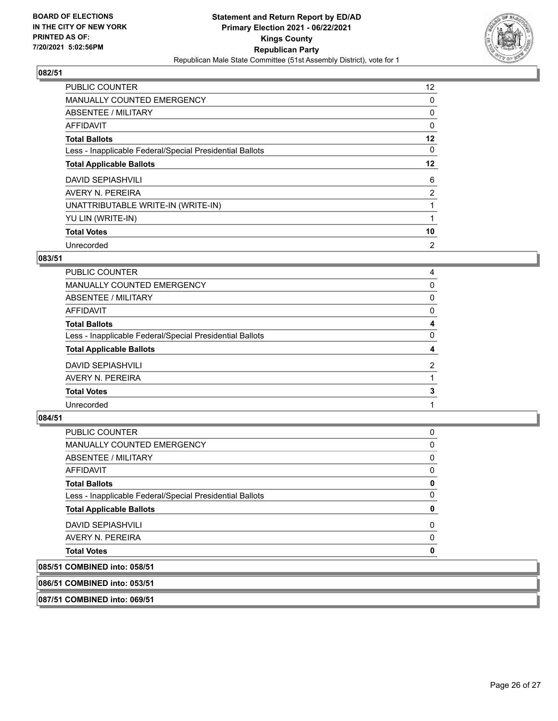

| <b>PUBLIC COUNTER</b>                                    | 12 <sup>2</sup> |
|----------------------------------------------------------|-----------------|
| <b>MANUALLY COUNTED EMERGENCY</b>                        | 0               |
| ABSENTEE / MILITARY                                      | 0               |
| <b>AFFIDAVIT</b>                                         | 0               |
| <b>Total Ballots</b>                                     | 12              |
| Less - Inapplicable Federal/Special Presidential Ballots | 0               |
| <b>Total Applicable Ballots</b>                          | $12 \,$         |
| <b>DAVID SEPIASHVILI</b>                                 | 6               |
| AVERY N. PEREIRA                                         | $\overline{2}$  |
| UNATTRIBUTABLE WRITE-IN (WRITE-IN)                       |                 |
| YU LIN (WRITE-IN)                                        |                 |
| <b>Total Votes</b>                                       | 10              |
| Unrecorded                                               | 2               |

# **083/51**

| PUBLIC COUNTER                                           | 4              |
|----------------------------------------------------------|----------------|
| MANUALLY COUNTED EMERGENCY                               | $\Omega$       |
| ABSENTEE / MILITARY                                      | $\Omega$       |
| AFFIDAVIT                                                | 0              |
| <b>Total Ballots</b>                                     | 4              |
| Less - Inapplicable Federal/Special Presidential Ballots | 0              |
| <b>Total Applicable Ballots</b>                          | 4              |
| <b>DAVID SEPIASHVILI</b>                                 | $\overline{2}$ |
| AVERY N. PEREIRA                                         |                |
| <b>Total Votes</b>                                       | 3              |
| Unrecorded                                               |                |
|                                                          |                |

# **084/51**

| PUBLIC COUNTER                                           | 0 |
|----------------------------------------------------------|---|
| MANUALLY COUNTED EMERGENCY                               | 0 |
| ABSENTEE / MILITARY                                      | 0 |
| AFFIDAVIT                                                | 0 |
| <b>Total Ballots</b>                                     | 0 |
| Less - Inapplicable Federal/Special Presidential Ballots | 0 |
| <b>Total Applicable Ballots</b>                          | 0 |
| <b>DAVID SEPIASHVILI</b>                                 | 0 |
| AVERY N. PEREIRA                                         | 0 |
| <b>Total Votes</b>                                       | 0 |
| 085/51 COMBINED into: 058/51                             |   |
|                                                          |   |

**086/51 COMBINED into: 053/51**

**087/51 COMBINED into: 069/51**